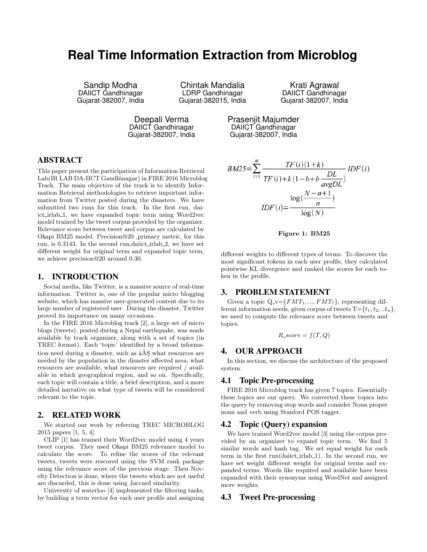# **Real Time Information Extraction from Microblog**

Sandip Modha DAIICT Gandhinagar Gujarat-382007, India

Chintak Mandalia LDRP Gandhinagar Gujarat-382015, India

Krati Agrawal DAIICT Gandhinagar Gujarat-382007, India

Deepali Verma DAIICT Gandhinagar Gujarat-382007, India Prasenjit Majumder DAIICT Gandhinagar Gujarat-382007, India

# ABSTRACT

This paper present the participation of Information Retrieval Lab(IR LAB DA-IICT Gandhinagar) in FIRE 2016 Microblog Track. The main objective of the track is to identify Information Retrieval methodologies to retrieve important information from Twitter posted during the disasters. We have submitted two runs for this track. In the first run, daiict irlab 1, we have expanded topic term using Word2vec model trained by the tweet corpus provided by the organizer. Relevance score between tweet and corpus are calculated by Okapi BM25 model. Precision@20 ,primary metric, for this run, is 0.3143. In the second run,daiict\_irlab\_2, we have set different weight for original term and expanded topic term, we achieve precision@20 around 0.30.

#### 1. INTRODUCTION

Social media, like Twitter, is a massive source of real-time information. Twitter is, one of the popular micro blogging website, which has massive user-generated content due to its large number of registered user. During the disaster, Twitter proved its importance on many occasions.

In the FIRE 2016 Microblog track [2], a large set of micro blogs (tweets), posted during a Nepal earthquake, was made available by track organizer, along with a set of topics (in TREC format). Each 'topic' identified by a broad information need during a disaster, such as  $\hat{a} \tilde{A} \tilde{S}$  what resources are needed by the population in the disaster affected area, what resources are available, what resources are required / available in which geographical region, and so on. Specifically, each topic will contain a title, a brief description, and a more detailed narrative on what type of tweets will be considered relevant to the topic.

# 2. RELATED WORK

We started our work by referring TREC MICROBLOG 2015 papers [1, 5, 4].

CLIP [1] has trained their Word2vec model using 4 years tweet corpus. They used Okapi BM25 relevance model to calculate the score. To refine the scores of the relevant tweets, tweets were rescored using the SVM rank package using the relevance score of the previous stage. Then Novelty Detection is done, where the tweets which are not useful are discarded, this is done using Jaccard similarity.

University of waterloo [4] implemented the filtering tasks, by building a term vector for each user profile and assigning

$$
BM25 = \sum_{i=1}^{W} \frac{TF(i)(1+k)}{TF(i)+k(1-b+b)} \frac{DL}{avgDL}
$$

$$
IDF(i) = \frac{\log(\frac{N-n+1}{n})}{\log(N)}
$$

#### Figure 1: BM25

different weights to different types of terms. To discover the most significant tokens in each user profile, they calculated pointwise KL divergence and ranked the scores for each token in the profile.

## 3. PROBLEM STATEMENT

Given a topic  $Q_v = \{FMT_1, ..., FMT_7\}$ , representing different information needs, given corpus of tweets  $T = \{t_1, t_2, ... t_n\}$ , we need to compute the relevance score between tweets and topics.

$$
R\_score = f(T, Q)
$$

## 4. OUR APPROACH

In this section, we discuss the architecture of the proposed system.

#### 4.1 Topic Pre-processing

FIRE 2016 Microblog track has given 7 topics. Essentially these topics are our query. We converted these topics into the query by removing stop words and consider Noun proper noun and verb using Stanford POS tagger.

# 4.2 Topic (Query) expansion

We have trained Word2vec model [3] using the corpus provided by an organizer to expand topic term. We find 5 similar words and hash tag. We set equal weight for each term in the first  $run(daiict_irlab_1)$ . In the second run, we have set weight different weight for original terms and expanded terms. Words like required and available have been expanded with their synonyms using WordNet and assigned more weights.

## 4.3 Tweet Pre-processing